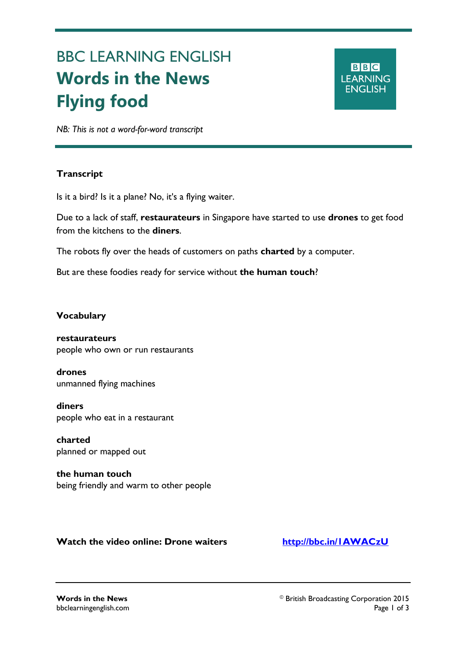# BBC LEARNING ENGLISH **Words in the News Flying food**

# **BBC LEARNING ENGLISH**

*NB: This is not a word-for-word transcript*

## **Transcript**

Ξ

Is it a bird? Is it a plane? No, it's a flying waiter.

Due to a lack of staff, **restaurateurs** in Singapore have started to use **drones** to get food from the kitchens to the **diners**.

The robots fly over the heads of customers on paths **charted** by a computer.

But are these foodies ready for service without **the human touch**?

### **Vocabulary**

**restaurateurs** people who own or run restaurants

**drones** unmanned flying machines

**diners** people who eat in a restaurant

**charted** planned or mapped out

**the human touch** being friendly and warm to other people

**Watch the video online: Drone waiters <http://bbc.in/1AWACzU>**

**Words in the News Words in the News Corporation 2015** bbclearningenglish.com Page 1 of 3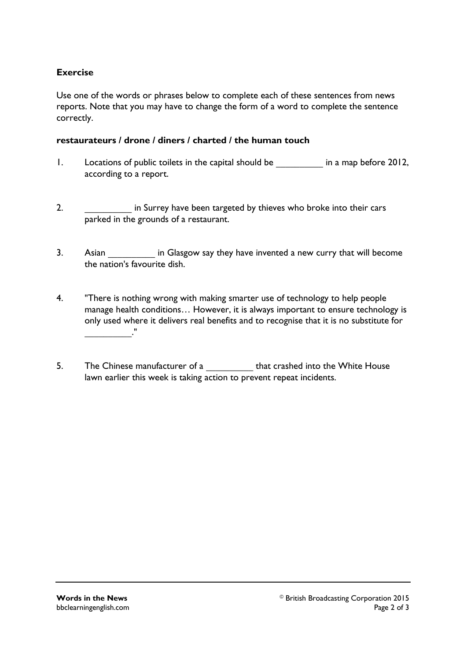### **Exercise**

Use one of the words or phrases below to complete each of these sentences from news reports. Note that you may have to change the form of a word to complete the sentence correctly.

#### **restaurateurs / drone / diners / charted / the human touch**

- 1. Locations of public toilets in the capital should be **\_\_\_\_\_\_\_\_\_\_** in a map before 2012, according to a report.
- 2. **\_\_\_\_\_\_\_\_\_\_** in Surrey have been targeted by thieves who broke into their cars parked in the grounds of a restaurant.
- 3. Asian **Example 3.** Asian **has a in Glasgow say they have invented a new curry that will become** the nation's favourite dish.
- 4. "There is nothing wrong with making smarter use of technology to help people manage health conditions… However, it is always important to ensure technology is only used where it delivers real benefits and to recognise that it is no substitute for **\_\_\_\_\_\_\_\_\_\_**."
- 5. The Chinese manufacturer of a **that crashed into the White House** lawn earlier this week is taking action to prevent repeat incidents.